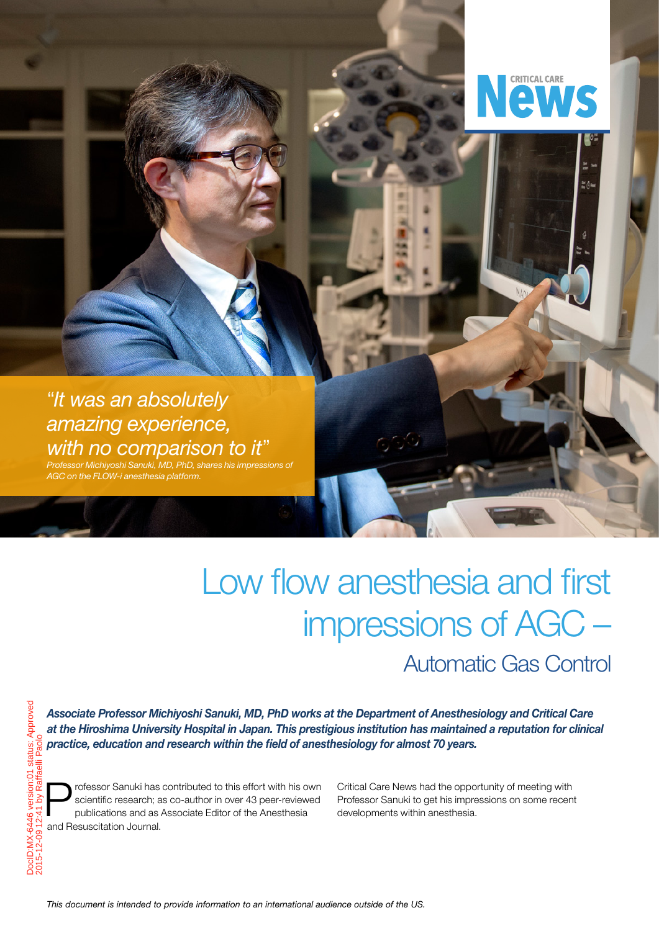

MA.

## "*It was an absolutely amazing experience, with no comparison to it*"

*Professor Michiyoshi Sanuki, MD, PhD, shares his impressions of AGC on the FLOW-i anesthesia platform.* 

# Low flow anesthesia and first impressions of AGC – Automatic Gas Control

*Associate Professor Michiyoshi Sanuki, MD, PhD works at the Department of Anesthesiology and Critical Care at the Hiroshima University Hospital in Japan. This prestigious institution has maintained a reputation for clinical practice, education and research within the field of anesthesiology for almost 70 years.* 

rofessor Sanuki has contributed to this effort with his own scientific research; as co-author in over 43 peer-reviewed publications and as Associate Editor of the Anesthesia and Resuscitation Journal.

DocID:MX-6446 version:01 status: Approved 2015-12-09 12:41 by Raffaelli Paolo

 $\overline{5}$ 

Approved

status:

Critical Care News had the opportunity of meeting with Professor Sanuki to get his impressions on some recent developments within anesthesia.